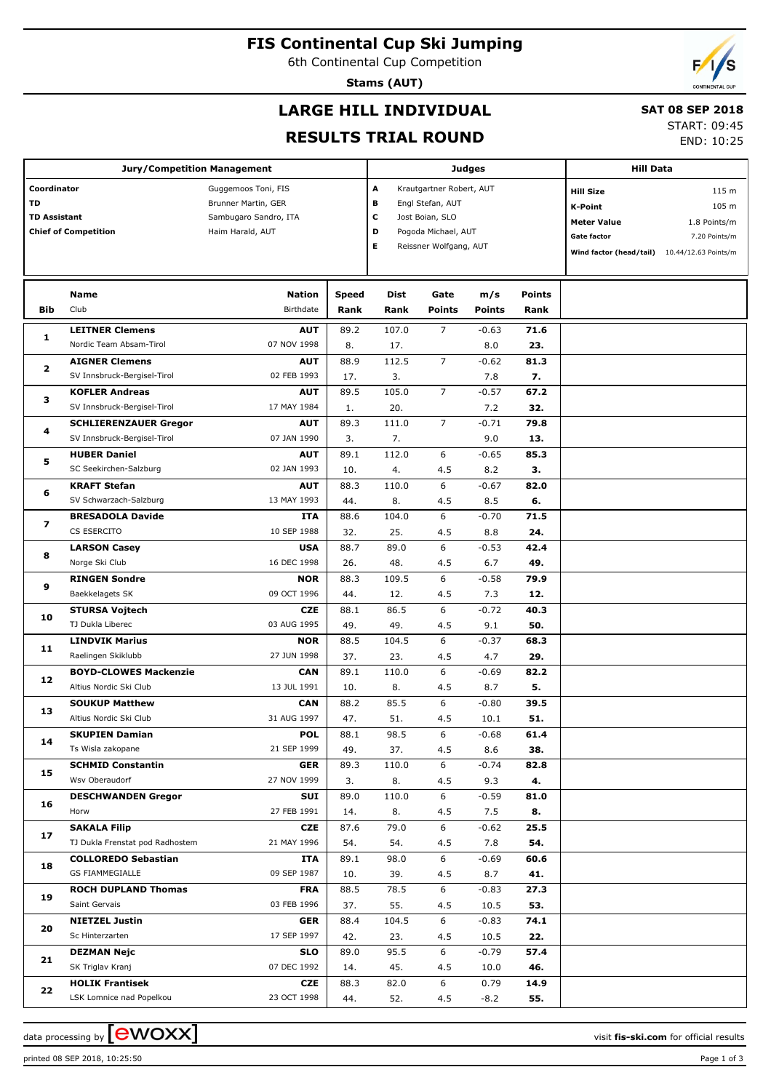## **FIS Continental Cup Ski Jumping**

6th Continental Cup Competition

**Stams (AUT)**

## **LARGE HILL INDIVIDUAL**

#### **SAT 08 SEP 2018**

**RESULTS TRIAL ROUND**

| START: 09:45 |            |
|--------------|------------|
|              | END: 10:25 |

|                                          | <b>Jury/Competition Management</b> |                                                                                         |       |                                                                                                                                           |                | <b>Judges</b> | <b>Hill Data</b>                                                                            |                                                                         |  |
|------------------------------------------|------------------------------------|-----------------------------------------------------------------------------------------|-------|-------------------------------------------------------------------------------------------------------------------------------------------|----------------|---------------|---------------------------------------------------------------------------------------------|-------------------------------------------------------------------------|--|
| Coordinator<br>TD<br><b>TD Assistant</b> | <b>Chief of Competition</b>        | Guggemoos Toni, FIS<br>Brunner Martin, GER<br>Sambugaro Sandro, ITA<br>Haim Harald, AUT |       | A<br>Krautgartner Robert, AUT<br>в<br>Engl Stefan, AUT<br>с<br>Jost Boian, SLO<br>D<br>Pogoda Michael, AUT<br>E<br>Reissner Wolfgang, AUT |                |               | <b>Hill Size</b><br>K-Point<br><b>Meter Value</b><br>Gate factor<br>Wind factor (head/tail) | 115 m<br>105 m<br>1.8 Points/m<br>7.20 Points/m<br>10.44/12.63 Points/m |  |
|                                          | <b>Name</b>                        | <b>Nation</b>                                                                           | Speed | Dist                                                                                                                                      | Gate           | m/s           | <b>Points</b>                                                                               |                                                                         |  |
| Bib                                      | Club                               | Birthdate                                                                               | Rank  | Rank                                                                                                                                      | <b>Points</b>  | <b>Points</b> | Rank                                                                                        |                                                                         |  |
|                                          | <b>LEITNER Clemens</b>             | <b>AUT</b>                                                                              | 89.2  | 107.0                                                                                                                                     | 7              | $-0.63$       | 71.6                                                                                        |                                                                         |  |
| 1                                        | Nordic Team Absam-Tirol            | 07 NOV 1998                                                                             | 8.    | 17.                                                                                                                                       |                | 8.0           | 23.                                                                                         |                                                                         |  |
| $\mathbf{z}$                             | <b>AIGNER Clemens</b>              | <b>AUT</b>                                                                              | 88.9  | 112.5                                                                                                                                     | $\overline{7}$ | $-0.62$       | 81.3                                                                                        |                                                                         |  |
|                                          | SV Innsbruck-Bergisel-Tirol        | 02 FEB 1993                                                                             | 17.   | 3.                                                                                                                                        |                | 7.8           | 7.                                                                                          |                                                                         |  |
| з                                        | <b>KOFLER Andreas</b>              | <b>AUT</b>                                                                              | 89.5  | 105.0                                                                                                                                     | $\overline{7}$ | $-0.57$       | 67.2                                                                                        |                                                                         |  |
|                                          | SV Innsbruck-Bergisel-Tirol        | 17 MAY 1984                                                                             | 1.    | 20.                                                                                                                                       |                | 7.2           | 32.                                                                                         |                                                                         |  |
| 4                                        | <b>SCHLIERENZAUER Gregor</b>       | <b>AUT</b>                                                                              | 89.3  | 111.0                                                                                                                                     | $\overline{7}$ | $-0.71$       | 79.8                                                                                        |                                                                         |  |
|                                          | SV Innsbruck-Bergisel-Tirol        | 07 JAN 1990                                                                             | 3.    | 7.                                                                                                                                        |                | 9.0           | 13.                                                                                         |                                                                         |  |
| 5                                        | <b>HUBER Daniel</b>                | <b>AUT</b>                                                                              | 89.1  | 112.0                                                                                                                                     | 6              | $-0.65$       | 85.3                                                                                        |                                                                         |  |
|                                          | SC Seekirchen-Salzburg             | 02 JAN 1993                                                                             | 10.   | 4.                                                                                                                                        | 4.5            | 8.2           | з.                                                                                          |                                                                         |  |
| 6                                        | <b>KRAFT Stefan</b>                | <b>AUT</b>                                                                              | 88.3  | 110.0                                                                                                                                     | 6              | $-0.67$       | 82.0                                                                                        |                                                                         |  |
|                                          | SV Schwarzach-Salzburg             | 13 MAY 1993                                                                             | 44.   | 8.                                                                                                                                        | 4.5            | 8.5           | 6.                                                                                          |                                                                         |  |
| 7                                        | <b>BRESADOLA Davide</b>            | <b>ITA</b>                                                                              | 88.6  | 104.0                                                                                                                                     | 6              | $-0.70$       | 71.5                                                                                        |                                                                         |  |
|                                          | CS ESERCITO                        | 10 SEP 1988                                                                             | 32.   | 25.                                                                                                                                       | 4.5            | 8.8           | 24.                                                                                         |                                                                         |  |
| 8                                        | <b>LARSON Casey</b>                | <b>USA</b>                                                                              | 88.7  | 89.0                                                                                                                                      | 6              | $-0.53$       | 42.4                                                                                        |                                                                         |  |
|                                          | Norge Ski Club                     | 16 DEC 1998                                                                             | 26.   | 48.                                                                                                                                       | 4.5            | 6.7           | 49.                                                                                         |                                                                         |  |
| 9                                        | <b>RINGEN Sondre</b>               | <b>NOR</b>                                                                              | 88.3  | 109.5                                                                                                                                     | 6              | $-0.58$       | 79.9                                                                                        |                                                                         |  |
|                                          | Baekkelagets SK                    | 09 OCT 1996                                                                             | 44.   | 12.                                                                                                                                       | 4.5            | 7.3           | 12.                                                                                         |                                                                         |  |
| 10                                       | <b>STURSA Vojtech</b>              | <b>CZE</b>                                                                              | 88.1  | 86.5                                                                                                                                      | 6              | $-0.72$       | 40.3                                                                                        |                                                                         |  |
|                                          | TJ Dukla Liberec                   | 03 AUG 1995                                                                             | 49.   | 49.                                                                                                                                       | 4.5            | 9.1           | 50.                                                                                         |                                                                         |  |
| 11                                       | <b>LINDVIK Marius</b>              | <b>NOR</b>                                                                              | 88.5  | 104.5                                                                                                                                     | 6              | $-0.37$       | 68.3                                                                                        |                                                                         |  |
|                                          | Raelingen Skiklubb                 | 27 JUN 1998                                                                             | 37.   | 23.                                                                                                                                       | 4.5            | 4.7           | 29.                                                                                         |                                                                         |  |
| 12                                       | <b>BOYD-CLOWES Mackenzie</b>       | <b>CAN</b>                                                                              | 89.1  | 110.0                                                                                                                                     | 6              | $-0.69$       | 82.2                                                                                        |                                                                         |  |
|                                          | Altius Nordic Ski Club             | 13 JUL 1991                                                                             | 10.   | 8.                                                                                                                                        | 4.5            | 8.7           | 5.                                                                                          |                                                                         |  |
| 13                                       | <b>SOUKUP Matthew</b>              | <b>CAN</b>                                                                              | 88.2  | 85.5                                                                                                                                      | 6              | $-0.80$       | 39.5                                                                                        |                                                                         |  |
|                                          | Altius Nordic Ski Club             | 31 AUG 1997                                                                             | 47.   | 51.                                                                                                                                       | 4.5            | 10.1          | 51.                                                                                         |                                                                         |  |
| 14                                       | <b>SKUPIEN Damian</b>              | <b>POL</b>                                                                              | 88.1  | 98.5                                                                                                                                      | 6              | $-0.68$       | 61.4                                                                                        |                                                                         |  |
|                                          | Ts Wisla zakopane                  | 21 SEP 1999                                                                             | 49.   | 37.                                                                                                                                       | 4.5            | 8.6           | 38.                                                                                         |                                                                         |  |
| 15                                       | <b>SCHMID Constantin</b>           | <b>GER</b>                                                                              | 89.3  | 110.0                                                                                                                                     | 6              | $-0.74$       | 82.8                                                                                        |                                                                         |  |
|                                          | Wsv Oberaudorf                     | 27 NOV 1999                                                                             | 3.    | 8.                                                                                                                                        | 4.5            | 9.3           | 4.                                                                                          |                                                                         |  |
| 16                                       | <b>DESCHWANDEN Gregor</b>          | SUI                                                                                     | 89.0  | 110.0                                                                                                                                     | 6              | $-0.59$       | 81.0                                                                                        |                                                                         |  |
|                                          | Horw                               | 27 FEB 1991                                                                             | 14.   | 8.                                                                                                                                        | 4.5            | 7.5           | 8.                                                                                          |                                                                         |  |
| 17                                       | <b>SAKALA Filip</b>                | <b>CZE</b>                                                                              | 87.6  | 79.0                                                                                                                                      | 6              | $-0.62$       | 25.5                                                                                        |                                                                         |  |
|                                          | TJ Dukla Frenstat pod Radhostem    | 21 MAY 1996                                                                             | 54.   | 54.                                                                                                                                       | 4.5            | 7.8           | 54.                                                                                         |                                                                         |  |
| 18                                       | <b>COLLOREDO Sebastian</b>         | ITA                                                                                     | 89.1  | 98.0                                                                                                                                      | 6              | $-0.69$       | 60.6                                                                                        |                                                                         |  |
|                                          | <b>GS FIAMMEGIALLE</b>             | 09 SEP 1987                                                                             | 10.   | 39.                                                                                                                                       | 4.5            | 8.7           | 41.                                                                                         |                                                                         |  |
| 19                                       | <b>ROCH DUPLAND Thomas</b>         | <b>FRA</b>                                                                              | 88.5  | 78.5                                                                                                                                      | 6              | $-0.83$       | 27.3                                                                                        |                                                                         |  |
|                                          | Saint Gervais                      | 03 FEB 1996                                                                             | 37.   | 55.                                                                                                                                       | 4.5            | 10.5          | 53.                                                                                         |                                                                         |  |
| 20                                       | <b>NIETZEL Justin</b>              | <b>GER</b>                                                                              | 88.4  | 104.5                                                                                                                                     | 6              | $-0.83$       | 74.1                                                                                        |                                                                         |  |
|                                          | Sc Hinterzarten                    | 17 SEP 1997                                                                             | 42.   | 23.                                                                                                                                       | 4.5            | 10.5          | 22.                                                                                         |                                                                         |  |
| 21                                       | <b>DEZMAN Nejc</b>                 | <b>SLO</b>                                                                              | 89.0  | 95.5                                                                                                                                      | 6              | $-0.79$       | 57.4                                                                                        |                                                                         |  |
|                                          | SK Triglav Kranj                   | 07 DEC 1992                                                                             | 14.   | 45.                                                                                                                                       | 4.5            | 10.0          | 46.                                                                                         |                                                                         |  |
| 22                                       | <b>HOLIK Frantisek</b>             | <b>CZE</b>                                                                              | 88.3  | 82.0                                                                                                                                      | 6              | 0.79          | 14.9                                                                                        |                                                                         |  |
|                                          | LSK Lomnice nad Popelkou           | 23 OCT 1998                                                                             | 44.   | 52.                                                                                                                                       | 4.5            | -8.2          | 55.                                                                                         |                                                                         |  |

printed 08 SEP 2018, 10:25:50 Page 1 of 3

data processing by **CWOXX**  $\blacksquare$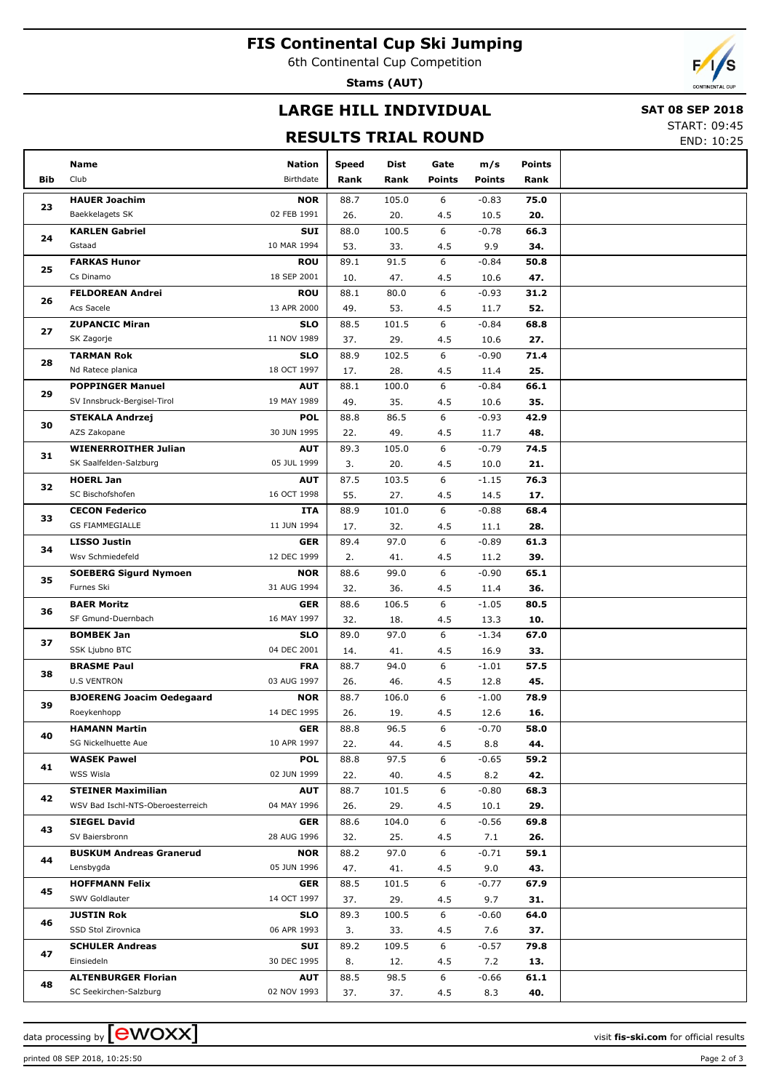## **FIS Continental Cup Ski Jumping**

6th Continental Cup Competition

**Stams (AUT)**



# **LARGE HILL INDIVIDUAL**

#### **SAT 08 SEP 2018**

#### **RESULTS TRIAL ROUND**

START: 09:45

|--|

|            | Name                                        | <b>Nation</b>             | Speed       | Dist         | Gate          | m/s             | Points      |  |
|------------|---------------------------------------------|---------------------------|-------------|--------------|---------------|-----------------|-------------|--|
| <b>Bib</b> | Club                                        | Birthdate                 | Rank        | Rank         | <b>Points</b> | <b>Points</b>   | Rank        |  |
|            | <b>HAUER Joachim</b>                        | <b>NOR</b>                | 88.7        | 105.0        | 6             | $-0.83$         | 75.0        |  |
| 23         | Baekkelagets SK                             | 02 FEB 1991               | 26.         | 20.          | 4.5           | 10.5            | 20.         |  |
|            | <b>KARLEN Gabriel</b>                       | <b>SUI</b>                | 88.0        | 100.5        | 6             | $-0.78$         | 66.3        |  |
| 24         | Gstaad                                      | 10 MAR 1994               | 53.         | 33.          | 4.5           | 9.9             | 34.         |  |
|            | <b>FARKAS Hunor</b>                         | <b>ROU</b>                | 89.1        | 91.5         | 6             | -0.84           | 50.8        |  |
| 25         | Cs Dinamo                                   | 18 SEP 2001               | 10.         | 47.          | 4.5           | 10.6            | 47.         |  |
| 26         | <b>FELDOREAN Andrei</b>                     | <b>ROU</b>                | 88.1        | 80.0         | 6             | -0.93           | 31.2        |  |
|            | Acs Sacele                                  | 13 APR 2000               | 49.         | 53.          | 4.5           | 11.7            | 52.         |  |
| 27         | <b>ZUPANCIC Miran</b>                       | <b>SLO</b>                | 88.5        | 101.5        | 6             | -0.84           | 68.8        |  |
|            | SK Zagorje                                  | 11 NOV 1989               | 37.         | 29.          | 4.5           | 10.6            | 27.         |  |
| 28         | <b>TARMAN Rok</b>                           | <b>SLO</b>                | 88.9        | 102.5        | 6             | -0.90           | 71.4        |  |
|            | Nd Ratece planica                           | 18 OCT 1997               | 17.         | 28.          | 4.5           | 11.4            | 25.         |  |
| 29         | <b>POPPINGER Manuel</b>                     | <b>AUT</b>                | 88.1        | 100.0        | 6             | -0.84           | 66.1        |  |
|            | SV Innsbruck-Bergisel-Tirol                 | 19 MAY 1989               | 49.         | 35.          | 4.5           | 10.6            | 35.         |  |
| 30         | <b>STEKALA Andrzej</b>                      | <b>POL</b>                | 88.8        | 86.5         | 6             | -0.93           | 42.9        |  |
|            | AZS Zakopane                                | 30 JUN 1995               | 22.         | 49.          | 4.5           | 11.7            | 48.         |  |
| 31         | <b>WIENERROITHER Julian</b>                 | <b>AUT</b>                | 89.3        | 105.0        | 6             | $-0.79$         | 74.5        |  |
|            | SK Saalfelden-Salzburg                      | 05 JUL 1999               | 3.          | 20.          | 4.5           | 10.0            | 21.         |  |
| 32         | <b>HOERL Jan</b><br>SC Bischofshofen        | <b>AUT</b><br>16 OCT 1998 | 87.5        | 103.5        | 6             | $-1.15$         | 76.3        |  |
|            | <b>CECON Federico</b>                       | ITA                       | 55.         | 27.          | 4.5<br>6      | 14.5            | 17.<br>68.4 |  |
| 33         | <b>GS FIAMMEGIALLE</b>                      | 11 JUN 1994               | 88.9<br>17. | 101.0<br>32. | 4.5           | $-0.88$<br>11.1 | 28.         |  |
|            | <b>LISSO Justin</b>                         | <b>GER</b>                | 89.4        | 97.0         | 6             | $-0.89$         | 61.3        |  |
| 34         | Wsv Schmiedefeld                            | 12 DEC 1999               | 2.          | 41.          | 4.5           | 11.2            | 39.         |  |
|            | <b>SOEBERG Sigurd Nymoen</b>                | <b>NOR</b>                | 88.6        | 99.0         | 6             | -0.90           | 65.1        |  |
| 35         | Furnes Ski                                  | 31 AUG 1994               | 32.         | 36.          | 4.5           | 11.4            | 36.         |  |
|            | <b>BAER Moritz</b>                          | <b>GER</b>                | 88.6        | 106.5        | 6             | $-1.05$         | 80.5        |  |
| 36         | SF Gmund-Duernbach                          | 16 MAY 1997               | 32.         | 18.          | 4.5           | 13.3            | 10.         |  |
|            | <b>BOMBEK Jan</b>                           | <b>SLO</b>                | 89.0        | 97.0         | 6             | $-1.34$         | 67.0        |  |
| 37         | SSK Ljubno BTC                              | 04 DEC 2001               | 14.         | 41.          | 4.5           | 16.9            | 33.         |  |
| 38         | <b>BRASME Paul</b>                          | <b>FRA</b>                | 88.7        | 94.0         | 6             | $-1.01$         | 57.5        |  |
|            | <b>U.S VENTRON</b>                          | 03 AUG 1997               | 26.         | 46.          | 4.5           | 12.8            | 45.         |  |
| 39         | <b>BJOERENG Joacim Oedegaard</b>            | <b>NOR</b>                | 88.7        | 106.0        | 6             | $-1.00$         | 78.9        |  |
|            | Roeykenhopp                                 | 14 DEC 1995               | 26.         | 19.          | 4.5           | 12.6            | 16.         |  |
| 40         | <b>HAMANN Martin</b>                        | <b>GER</b>                | 88.8        | 96.5         | 6             | $-0.70$         | 58.0        |  |
|            | SG Nickelhuette Aue                         | 10 APR 1997               | 22.         | 44.          | 4.5           | 8.8             | 44.         |  |
| 41         | <b>WASEK Pawel</b>                          | <b>POL</b>                | 88.8        | 97.5         | 6             | -0.65           | 59.2        |  |
|            | WSS Wisla                                   | 02 JUN 1999               | 22.         | 40.          | 4.5           | 8.2             | 42.         |  |
| 42         | <b>STEINER Maximilian</b>                   | <b>AUT</b>                | 88.7        | 101.5        | 6             | $-0.80$         | 68.3        |  |
|            | WSV Bad Ischl-NTS-Oberoesterreich           | 04 MAY 1996               | 26.         | 29.          | 4.5           | 10.1            | 29.         |  |
| 43         | <b>SIEGEL David</b><br>SV Baiersbronn       | <b>GER</b><br>28 AUG 1996 | 88.6        | 104.0        | 6             | $-0.56$         | 69.8        |  |
|            |                                             | <b>NOR</b>                | 32.         | 25.          | 4.5<br>6      | 7.1             | 26.         |  |
| 44         | <b>BUSKUM Andreas Granerud</b><br>Lensbygda | 05 JUN 1996               | 88.2<br>47. | 97.0<br>41.  | 4.5           | $-0.71$<br>9.0  | 59.1<br>43. |  |
|            | <b>HOFFMANN Felix</b>                       | <b>GER</b>                | 88.5        | 101.5        | 6             | $-0.77$         | 67.9        |  |
| 45         | SWV Goldlauter                              | 14 OCT 1997               | 37.         | 29.          | 4.5           | 9.7             | 31.         |  |
|            | <b>JUSTIN Rok</b>                           | <b>SLO</b>                | 89.3        | 100.5        | 6             | $-0.60$         | 64.0        |  |
| 46         | SSD Stol Zirovnica                          | 06 APR 1993               | 3.          | 33.          | 4.5           | 7.6             | 37.         |  |
|            | <b>SCHULER Andreas</b>                      | SUI                       | 89.2        | 109.5        | 6             | $-0.57$         | 79.8        |  |
| 47         | Einsiedeln                                  | 30 DEC 1995               | 8.          | 12.          | 4.5           | 7.2             | 13.         |  |
|            | <b>ALTENBURGER Florian</b>                  | <b>AUT</b>                | 88.5        | 98.5         | 6             | -0.66           | 61.1        |  |
| 48         | SC Seekirchen-Salzburg                      | 02 NOV 1993               | 37.         | 37.          | 4.5           | 8.3             | 40.         |  |

printed 08 SEP 2018, 10:25:50 Page 2 of 3

data processing by **CWOXX**  $\blacksquare$